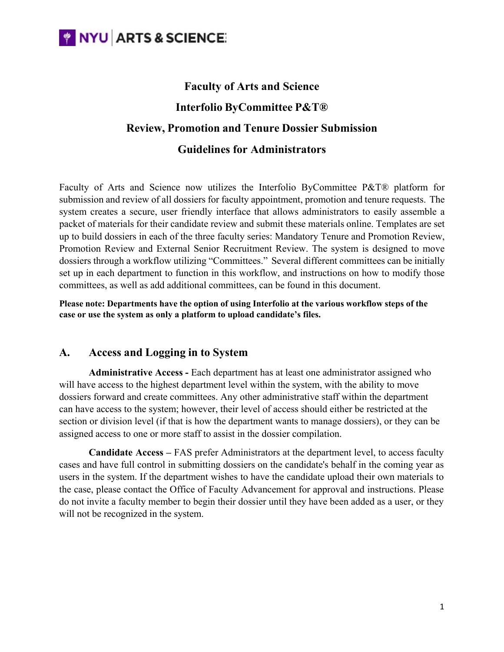**WINYU ARTS & SCIENCE:** 

# **Faculty of Arts and Science Interfolio ByCommittee P&T® Review, Promotion and Tenure Dossier Submission Guidelines for Administrators**

Faculty of Arts and Science now utilizes the Interfolio ByCommittee P&T® platform for submission and review of all dossiers for faculty appointment, promotion and tenure requests. The system creates a secure, user friendly interface that allows administrators to easily assemble a packet of materials for their candidate review and submit these materials online. Templates are set up to build dossiers in each of the three faculty series: Mandatory Tenure and Promotion Review, Promotion Review and External Senior Recruitment Review. The system is designed to move dossiers through a workflow utilizing "Committees." Several different committees can be initially set up in each department to function in this workflow, and instructions on how to modify those committees, as well as add additional committees, can be found in this document.

**Please note: Departments have the option of using Interfolio at the various workflow steps of the case or use the system as only a platform to upload candidate's files.**

### **A. Access and Logging in to System**

**Administrative Access -** Each department has at least one administrator assigned who will have access to the highest department level within the system, with the ability to move dossiers forward and create committees. Any other administrative staff within the department can have access to the system; however, their level of access should either be restricted at the section or division level (if that is how the department wants to manage dossiers), or they can be assigned access to one or more staff to assist in the dossier compilation.

**Candidate Access –** FAS prefer Administrators at the department level, to access faculty cases and have full control in submitting dossiers on the candidate's behalf in the coming year as users in the system. If the department wishes to have the candidate upload their own materials to the case, please contact the Office of Faculty Advancement for approval and instructions. Please do not invite a faculty member to begin their dossier until they have been added as a user, or they will not be recognized in the system.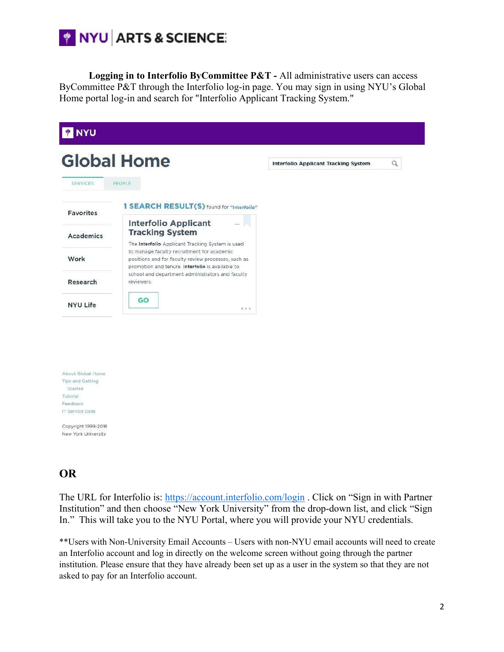

**Logging in to Interfolio ByCommittee P&T -** All administrative users can access ByCommittee P&T through the Interfolio log-in page. You may sign in using NYU's Global Home portal log-in and search for "Interfolio Applicant Tracking System."

|                                                         | <b>Global Home</b>                                                                                                                                    | <b>Interfolio Applicant Tracking System</b> | Q |
|---------------------------------------------------------|-------------------------------------------------------------------------------------------------------------------------------------------------------|---------------------------------------------|---|
|                                                         | PEOPLE                                                                                                                                                |                                             |   |
| <b>SERVICES</b>                                         |                                                                                                                                                       |                                             |   |
| <b>Favorites</b>                                        | 1 SEARCH RESULT(S) found for "Interfolio"                                                                                                             |                                             |   |
| <b>Academics</b>                                        | <b>Interfolio Applicant</b><br><b>Tracking System</b><br>The Interfolio Applicant Tracking System is used                                             |                                             |   |
| Work                                                    | to manage faculty recruitment for academic<br>positions and for faculty review processes, such as<br>promotion and tenure. Interfolio is available to |                                             |   |
| Research                                                | school and department administrators and faculty<br>reviewers.                                                                                        |                                             |   |
| <b>NYU Life</b>                                         | GO<br>0.0.0                                                                                                                                           |                                             |   |
| About Global Home<br><b>Tips and Getting</b><br>Started |                                                                                                                                                       |                                             |   |
| Tutorial                                                |                                                                                                                                                       |                                             |   |
| Feedback<br><b>IT Service Desk</b>                      |                                                                                                                                                       |                                             |   |

Copyright 1999-2016 New York University

## **OR**

The URL for Interfolio is: https://account.interfolio.com/login . Click on "Sign in with Partner Institution" and then choose "New York University" from the drop-down list, and click "Sign In." This will take you to the NYU Portal, where you will provide your NYU credentials.

\*\*Users with Non-University Email Accounts – Users with non-NYU email accounts will need to create an Interfolio account and log in directly on the welcome screen without going through the partner institution. Please ensure that they have already been set up as a user in the system so that they are not asked to pay for an Interfolio account.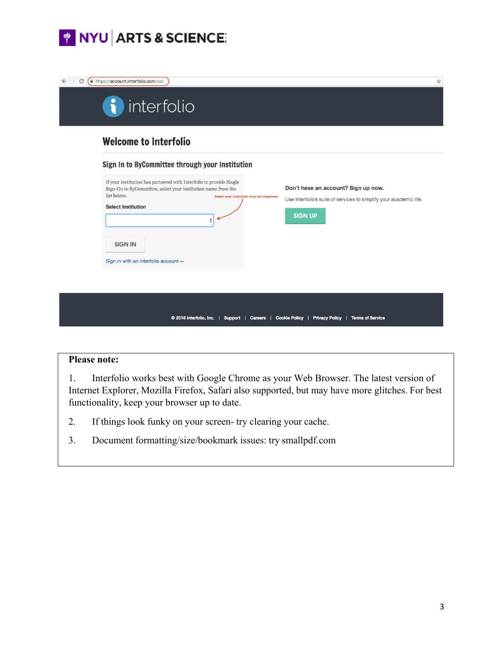



#### **Please note:**

1. Interfolio works best with Google Chrome as your Web Browser. The latest version of Internet Explorer, Mozilla Firefox, Safari also supported, but may have more glitches. For best functionality, keep your browser up to date.

- 2. If things look funky on your screen- try clearing your cache.
- 3. Document formatting/size/bookmark issues: try smallpdf.com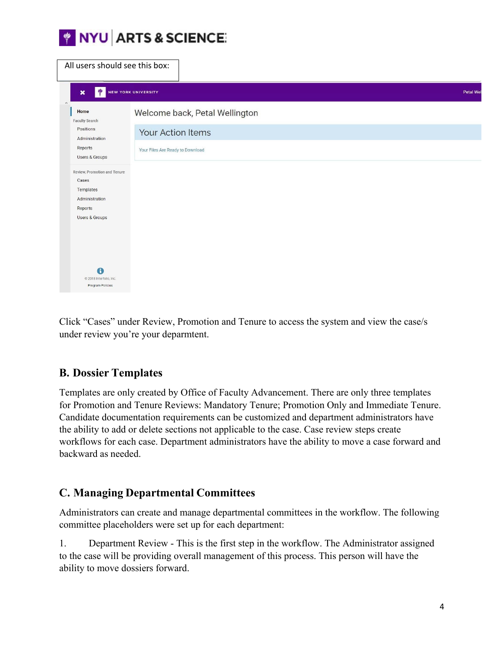

| All users should see this box:                            |                                  |          |
|-----------------------------------------------------------|----------------------------------|----------|
| ψ<br>$\boldsymbol{\mathsf{x}}$                            | <b>NEW YORK UNIVERSITY</b>       | Petal We |
| $\wedge$<br>Home<br>Faculty Search                        | Welcome back, Petal Wellington   |          |
| Positions<br>Administration                               | Your Action Items                |          |
| Reports<br>Users & Groups                                 | Your Files Are Ready to Download |          |
| Review, Promotion and Tenure<br>Cases                     |                                  |          |
| Templates<br>Administration<br>Reports                    |                                  |          |
| Users & Groups                                            |                                  |          |
|                                                           |                                  |          |
| $\bigcirc$<br>@ 2018 Interfolio, Inc.<br>Program Policies |                                  |          |

Click "Cases" under Review, Promotion and Tenure to access the system and view the case/s under review you're your deparmtent.

### **B. Dossier Templates**

Templates are only created by Office of Faculty Advancement. There are only three templates for Promotion and Tenure Reviews: Mandatory Tenure; Promotion Only and Immediate Tenure. Candidate documentation requirements can be customized and department administrators have the ability to add or delete sections not applicable to the case. Case review steps create workflows for each case. Department administrators have the ability to move a case forward and backward as needed.

### **C. Managing Departmental Committees**

Administrators can create and manage departmental committees in the workflow. The following committee placeholders were set up for each department:

1. Department Review - This is the first step in the workflow. The Administrator assigned to the case will be providing overall management of this process. This person will have the ability to move dossiers forward.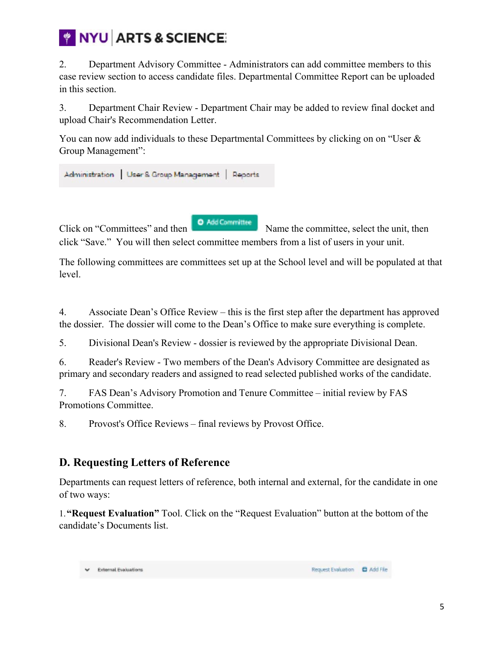

2. Department Advisory Committee - Administrators can add committee members to this case review section to access candidate files. Departmental Committee Report can be uploaded in this section.

3. Department Chair Review - Department Chair may be added to review final docket and upload Chair's Recommendation Letter.

You can now add individuals to these Departmental Committees by clicking on on "User & Group Management":



Click on "Committees" and then **O** Add Committee Name the committee, select the unit, then click "Save." You will then select committee members from a list of users in your unit.

The following committees are committees set up at the School level and will be populated at that level.

4. Associate Dean's Office Review – this is the first step after the department has approved the dossier. The dossier will come to the Dean's Office to make sure everything is complete.

5. Divisional Dean's Review - dossier is reviewed by the appropriate Divisional Dean.

6. Reader's Review - Two members of the Dean's Advisory Committee are designated as primary and secondary readers and assigned to read selected published works of the candidate.

7. FAS Dean's Advisory Promotion and Tenure Committee – initial review by FAS Promotions Committee.

8. Provost's Office Reviews – final reviews by Provost Office.

## **D. Requesting Letters of Reference**

Departments can request letters of reference, both internal and external, for the candidate in one of two ways:

1.**"Request Evaluation"** Tool. Click on the "Request Evaluation" button at the bottom of the candidate's Documents list.

**External Evaluations**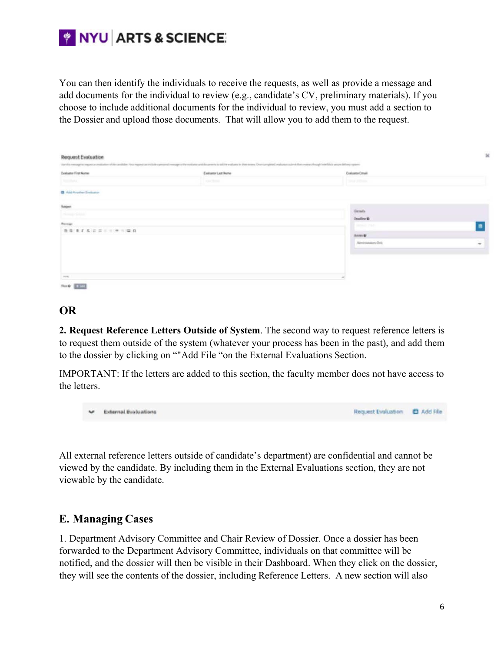

You can then identify the individuals to receive the requests, as well as provide a message and add documents for the individual to review (e.g., candidate's CV, preliminary materials). If you choose to include additional documents for the individual to review, you must add a section to the Dossier and upload those documents. That will allow you to add them to the request.

|                                 | Vanilla mesquita municial estatutur di Verantilità. Nu mani ca volubi samoni mesqui o le volubi antico del tornetti si sidi le estata è dive suo Diorconquesti estato catro dien esenzo hospi medalo quantità se que del equal |                           |                |
|---------------------------------|--------------------------------------------------------------------------------------------------------------------------------------------------------------------------------------------------------------------------------|---------------------------|----------------|
| Evaluato First Name             | Existence Leat Nome                                                                                                                                                                                                            | Extransional              |                |
| Distance                        | 3 per front                                                                                                                                                                                                                    | <b>THE REAL AND STATE</b> |                |
| El Aid Anather Englance         |                                                                                                                                                                                                                                |                           |                |
| <b>Balgan</b>                   |                                                                                                                                                                                                                                | <b>Geals</b>              |                |
| <b>Change School</b>            |                                                                                                                                                                                                                                | <b>Couline</b> O          |                |
| <b>Bungs</b>                    |                                                                                                                                                                                                                                | <b>James Fan</b>          | $\blacksquare$ |
| ● 第 東 2 名 3 3 3 = = ( ※ = ( 2 名 |                                                                                                                                                                                                                                | Annual 1                  |                |
|                                 |                                                                                                                                                                                                                                | Alexander-Driv            | $\rightarrow$  |
|                                 |                                                                                                                                                                                                                                |                           |                |
|                                 |                                                                                                                                                                                                                                |                           |                |
|                                 |                                                                                                                                                                                                                                |                           |                |

#### **OR**

**2. Request Reference Letters Outside of System**. The second way to request reference letters is to request them outside of the system (whatever your process has been in the past), and add them to the dossier by clicking on ""Add File "on the External Evaluations Section.

IMPORTANT: If the letters are added to this section, the faculty member does not have access to the letters.

|  | V External Evaluations | Request Evaluation <b>C</b> Add File |  |
|--|------------------------|--------------------------------------|--|
|--|------------------------|--------------------------------------|--|

All external reference letters outside of candidate's department) are confidential and cannot be viewed by the candidate. By including them in the External Evaluations section, they are not viewable by the candidate.

### **E. Managing Cases**

1. Department Advisory Committee and Chair Review of Dossier. Once a dossier has been forwarded to the Department Advisory Committee, individuals on that committee will be notified, and the dossier will then be visible in their Dashboard. When they click on the dossier, they will see the contents of the dossier, including Reference Letters. A new section will also